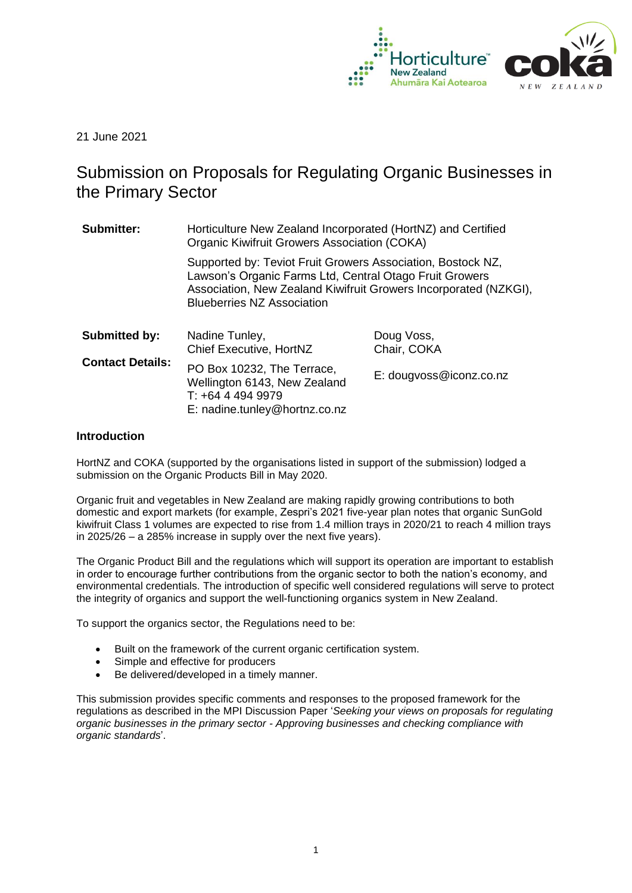

21 June 2021

# Submission on Proposals for Regulating Organic Businesses in the Primary Sector

| Submitter:              | Horticulture New Zealand Incorporated (HortNZ) and Certified<br><b>Organic Kiwifruit Growers Association (COKA)</b>                                                                                                             |                           |  |
|-------------------------|---------------------------------------------------------------------------------------------------------------------------------------------------------------------------------------------------------------------------------|---------------------------|--|
|                         | Supported by: Teviot Fruit Growers Association, Bostock NZ,<br>Lawson's Organic Farms Ltd, Central Otago Fruit Growers<br>Association, New Zealand Kiwifruit Growers Incorporated (NZKGI),<br><b>Blueberries NZ Association</b> |                           |  |
| <b>Submitted by:</b>    | Nadine Tunley,<br>Chief Executive, HortNZ                                                                                                                                                                                       | Doug Voss,<br>Chair, COKA |  |
| <b>Contact Details:</b> | PO Box 10232, The Terrace,<br>Wellington 6143, New Zealand<br>$T: +6444949979$<br>E: nadine.tunley@hortnz.co.nz                                                                                                                 | E: dougvoss@iconz.co.nz   |  |

# **Introduction**

HortNZ and COKA (supported by the organisations listed in support of the submission) lodged a submission on the Organic Products Bill in May 2020.

Organic fruit and vegetables in New Zealand are making rapidly growing contributions to both domestic and export markets (for example, Zespri's 2021 five-year plan notes that organic SunGold kiwifruit Class 1 volumes are expected to rise from 1.4 million trays in 2020/21 to reach 4 million trays in 2025/26 – a 285% increase in supply over the next five years).

The Organic Product Bill and the regulations which will support its operation are important to establish in order to encourage further contributions from the organic sector to both the nation's economy, and environmental credentials. The introduction of specific well considered regulations will serve to protect the integrity of organics and support the well-functioning organics system in New Zealand.

To support the organics sector, the Regulations need to be:

- Built on the framework of the current organic certification system.
- Simple and effective for producers
- Be delivered/developed in a timely manner.

This submission provides specific comments and responses to the proposed framework for the regulations as described in the MPI Discussion Paper '*Seeking your views on proposals for regulating organic businesses in the primary sector - Approving businesses and checking compliance with organic standards*'.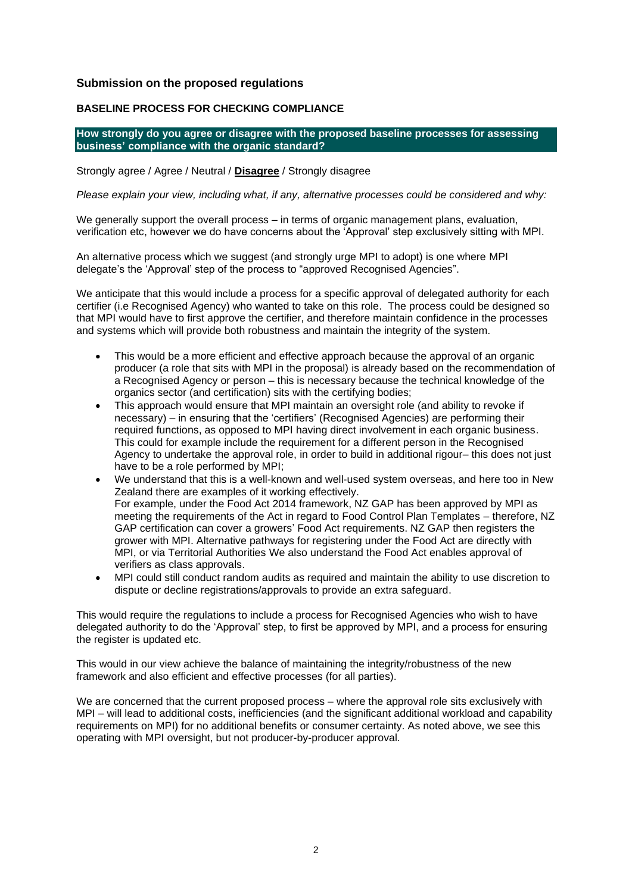# **Submission on the proposed regulations**

# **BASELINE PROCESS FOR CHECKING COMPLIANCE**

**How strongly do you agree or disagree with the proposed baseline processes for assessing business' compliance with the organic standard?**

Strongly agree / Agree / Neutral / **Disagree** / Strongly disagree

*Please explain your view, including what, if any, alternative processes could be considered and why:*

We generally support the overall process – in terms of organic management plans, evaluation, verification etc, however we do have concerns about the 'Approval' step exclusively sitting with MPI.

An alternative process which we suggest (and strongly urge MPI to adopt) is one where MPI delegate's the 'Approval' step of the process to "approved Recognised Agencies".

We anticipate that this would include a process for a specific approval of delegated authority for each certifier (i.e Recognised Agency) who wanted to take on this role. The process could be designed so that MPI would have to first approve the certifier, and therefore maintain confidence in the processes and systems which will provide both robustness and maintain the integrity of the system.

- This would be a more efficient and effective approach because the approval of an organic producer (a role that sits with MPI in the proposal) is already based on the recommendation of a Recognised Agency or person – this is necessary because the technical knowledge of the organics sector (and certification) sits with the certifying bodies;
- This approach would ensure that MPI maintain an oversight role (and ability to revoke if necessary) – in ensuring that the 'certifiers' (Recognised Agencies) are performing their required functions, as opposed to MPI having direct involvement in each organic business. This could for example include the requirement for a different person in the Recognised Agency to undertake the approval role, in order to build in additional rigour– this does not just have to be a role performed by MPI;
- We understand that this is a well-known and well-used system overseas, and here too in New Zealand there are examples of it working effectively. For example, under the Food Act 2014 framework, NZ GAP has been approved by MPI as meeting the requirements of the Act in regard to Food Control Plan Templates – therefore, NZ GAP certification can cover a growers' Food Act requirements. NZ GAP then registers the grower with MPI. Alternative pathways for registering under the Food Act are directly with MPI, or via Territorial Authorities We also understand the Food Act enables approval of verifiers as class approvals.
- MPI could still conduct random audits as required and maintain the ability to use discretion to dispute or decline registrations/approvals to provide an extra safeguard.

This would require the regulations to include a process for Recognised Agencies who wish to have delegated authority to do the 'Approval' step, to first be approved by MPI, and a process for ensuring the register is updated etc.

This would in our view achieve the balance of maintaining the integrity/robustness of the new framework and also efficient and effective processes (for all parties).

We are concerned that the current proposed process – where the approval role sits exclusively with MPI – will lead to additional costs, inefficiencies (and the significant additional workload and capability requirements on MPI) for no additional benefits or consumer certainty. As noted above, we see this operating with MPI oversight, but not producer-by-producer approval.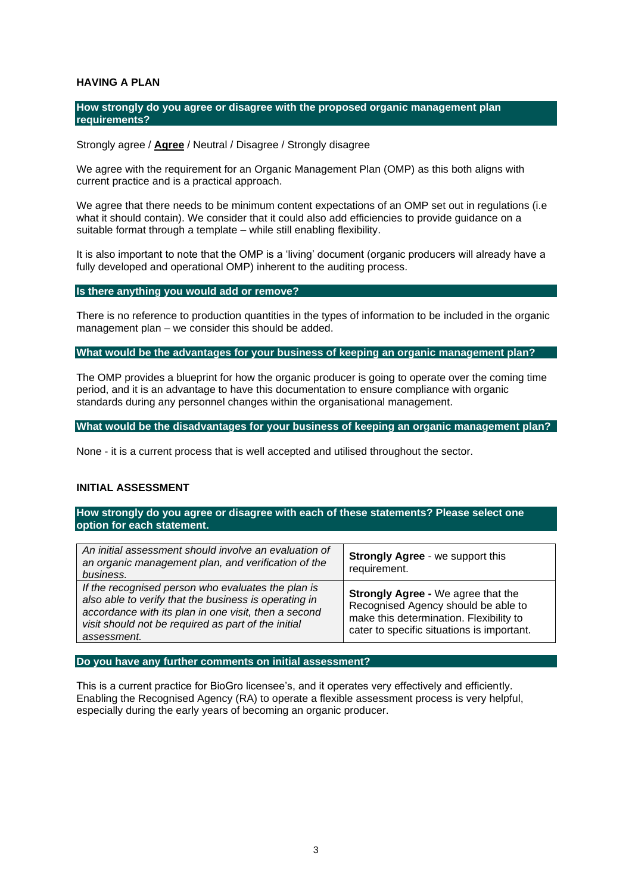# **HAVING A PLAN**

## **How strongly do you agree or disagree with the proposed organic management plan requirements?**

## Strongly agree / **Agree** / Neutral / Disagree / Strongly disagree

We agree with the requirement for an Organic Management Plan (OMP) as this both aligns with current practice and is a practical approach.

We agree that there needs to be minimum content expectations of an OMP set out in regulations (i.e. what it should contain). We consider that it could also add efficiencies to provide guidance on a suitable format through a template – while still enabling flexibility.

It is also important to note that the OMP is a 'living' document (organic producers will already have a fully developed and operational OMP) inherent to the auditing process.

## **Is there anything you would add or remove?**

There is no reference to production quantities in the types of information to be included in the organic management plan – we consider this should be added.

#### **What would be the advantages for your business of keeping an organic management plan?**

The OMP provides a blueprint for how the organic producer is going to operate over the coming time period, and it is an advantage to have this documentation to ensure compliance with organic standards during any personnel changes within the organisational management.

**What would be the disadvantages for your business of keeping an organic management plan?**

None - it is a current process that is well accepted and utilised throughout the sector.

# **INITIAL ASSESSMENT**

**How strongly do you agree or disagree with each of these statements? Please select one option for each statement.**

| An initial assessment should involve an evaluation of<br>an organic management plan, and verification of the<br>business.                                                                                                                 | <b>Strongly Agree - we support this</b><br>requirement.                                                                                                                   |
|-------------------------------------------------------------------------------------------------------------------------------------------------------------------------------------------------------------------------------------------|---------------------------------------------------------------------------------------------------------------------------------------------------------------------------|
| If the recognised person who evaluates the plan is<br>also able to verify that the business is operating in<br>accordance with its plan in one visit, then a second<br>visit should not be required as part of the initial<br>assessment. | <b>Strongly Agree - We agree that the</b><br>Recognised Agency should be able to<br>make this determination. Flexibility to<br>cater to specific situations is important. |
|                                                                                                                                                                                                                                           |                                                                                                                                                                           |

### **Do you have any further comments on initial assessment?**

This is a current practice for BioGro licensee's, and it operates very effectively and efficiently. Enabling the Recognised Agency (RA) to operate a flexible assessment process is very helpful, especially during the early years of becoming an organic producer.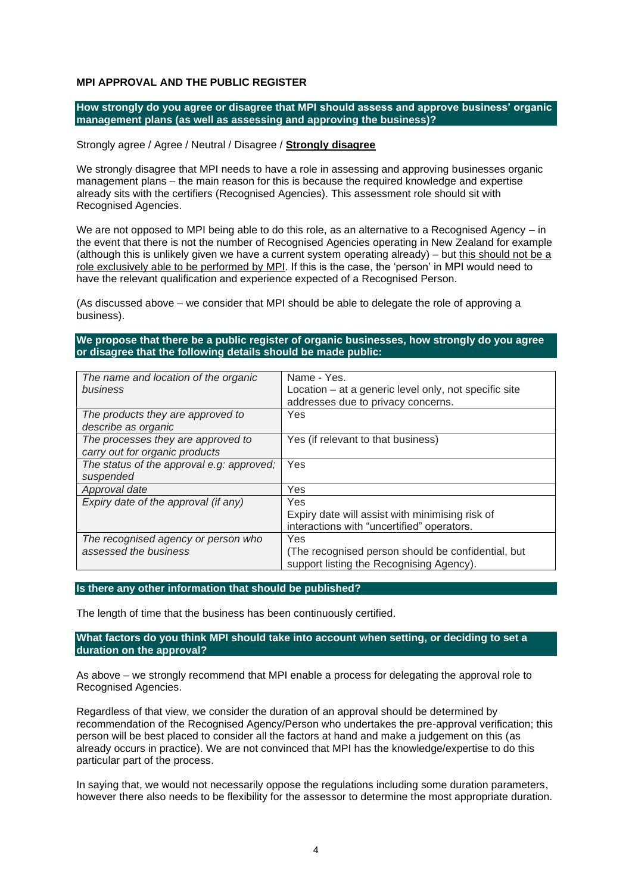# **MPI APPROVAL AND THE PUBLIC REGISTER**

**How strongly do you agree or disagree that MPI should assess and approve business' organic management plans (as well as assessing and approving the business)?**

## Strongly agree / Agree / Neutral / Disagree / **Strongly disagree**

We strongly disagree that MPI needs to have a role in assessing and approving businesses organic management plans – the main reason for this is because the required knowledge and expertise already sits with the certifiers (Recognised Agencies). This assessment role should sit with Recognised Agencies.

We are not opposed to MPI being able to do this role, as an alternative to a Recognised Agency – in the event that there is not the number of Recognised Agencies operating in New Zealand for example (although this is unlikely given we have a current system operating already) – but this should not be a role exclusively able to be performed by MPI. If this is the case, the 'person' in MPI would need to have the relevant qualification and experience expected of a Recognised Person.

(As discussed above – we consider that MPI should be able to delegate the role of approving a business).

# **We propose that there be a public register of organic businesses, how strongly do you agree or disagree that the following details should be made public:**

| The name and location of the organic      | Name - Yes.                                           |
|-------------------------------------------|-------------------------------------------------------|
| business                                  | Location – at a generic level only, not specific site |
|                                           | addresses due to privacy concerns.                    |
| The products they are approved to         | Yes                                                   |
| describe as organic                       |                                                       |
| The processes they are approved to        | Yes (if relevant to that business)                    |
| carry out for organic products            |                                                       |
| The status of the approval e.g: approved; | Yes                                                   |
| suspended                                 |                                                       |
| Approval date                             | Yes                                                   |
| Expiry date of the approval (if any)      | Yes                                                   |
|                                           | Expiry date will assist with minimising risk of       |
|                                           | interactions with "uncertified" operators.            |
| The recognised agency or person who       | Yes                                                   |
| assessed the business                     | (The recognised person should be confidential, but    |
|                                           | support listing the Recognising Agency).              |

# **Is there any other information that should be published?**

The length of time that the business has been continuously certified.

# **What factors do you think MPI should take into account when setting, or deciding to set a duration on the approval?**

As above – we strongly recommend that MPI enable a process for delegating the approval role to Recognised Agencies.

Regardless of that view, we consider the duration of an approval should be determined by recommendation of the Recognised Agency/Person who undertakes the pre-approval verification; this person will be best placed to consider all the factors at hand and make a judgement on this (as already occurs in practice). We are not convinced that MPI has the knowledge/expertise to do this particular part of the process.

In saying that, we would not necessarily oppose the regulations including some duration parameters, however there also needs to be flexibility for the assessor to determine the most appropriate duration.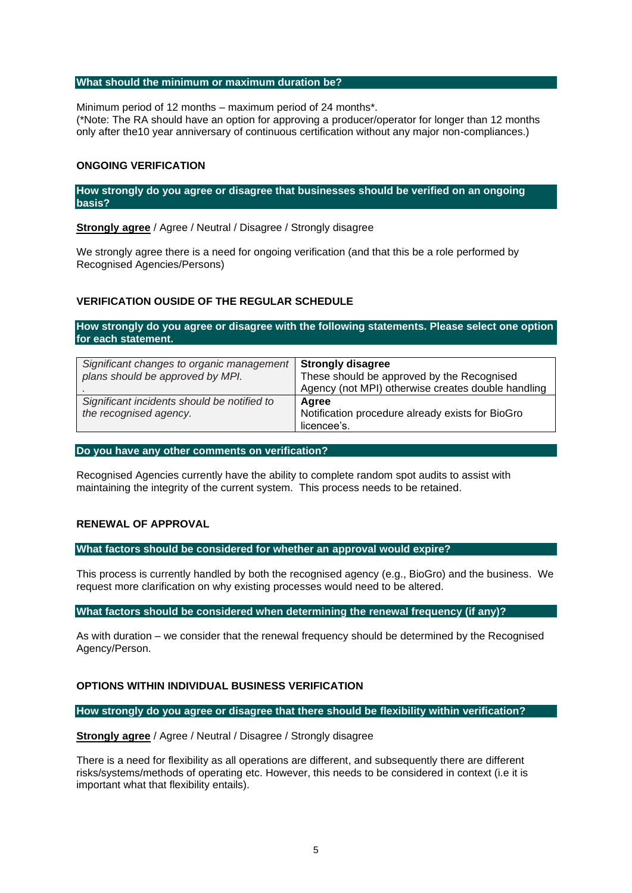# **What should the minimum or maximum duration be?**

Minimum period of 12 months – maximum period of 24 months\*. (\*Note: The RA should have an option for approving a producer/operator for longer than 12 months only after the10 year anniversary of continuous certification without any major non-compliances.)

# **ONGOING VERIFICATION**

**How strongly do you agree or disagree that businesses should be verified on an ongoing basis?**

**Strongly agree** / Agree / Neutral / Disagree / Strongly disagree

We strongly agree there is a need for ongoing verification (and that this be a role performed by Recognised Agencies/Persons)

# **VERIFICATION OUSIDE OF THE REGULAR SCHEDULE**

**How strongly do you agree or disagree with the following statements. Please select one option for each statement.**

| Significant changes to organic management<br>plans should be approved by MPI. | <b>Strongly disagree</b><br>These should be approved by the Recognised<br>Agency (not MPI) otherwise creates double handling |
|-------------------------------------------------------------------------------|------------------------------------------------------------------------------------------------------------------------------|
| Significant incidents should be notified to                                   | Agree                                                                                                                        |
| the recognised agency.                                                        | Notification procedure already exists for BioGro<br>licencee's.                                                              |

## **Do you have any other comments on verification?**

Recognised Agencies currently have the ability to complete random spot audits to assist with maintaining the integrity of the current system. This process needs to be retained.

# **RENEWAL OF APPROVAL**

# **What factors should be considered for whether an approval would expire?**

This process is currently handled by both the recognised agency (e.g., BioGro) and the business. We request more clarification on why existing processes would need to be altered.

**What factors should be considered when determining the renewal frequency (if any)?**

As with duration – we consider that the renewal frequency should be determined by the Recognised Agency/Person.

# **OPTIONS WITHIN INDIVIDUAL BUSINESS VERIFICATION**

**How strongly do you agree or disagree that there should be flexibility within verification?**

**Strongly agree** / Agree / Neutral / Disagree / Strongly disagree

There is a need for flexibility as all operations are different, and subsequently there are different risks/systems/methods of operating etc. However, this needs to be considered in context (i.e it is important what that flexibility entails).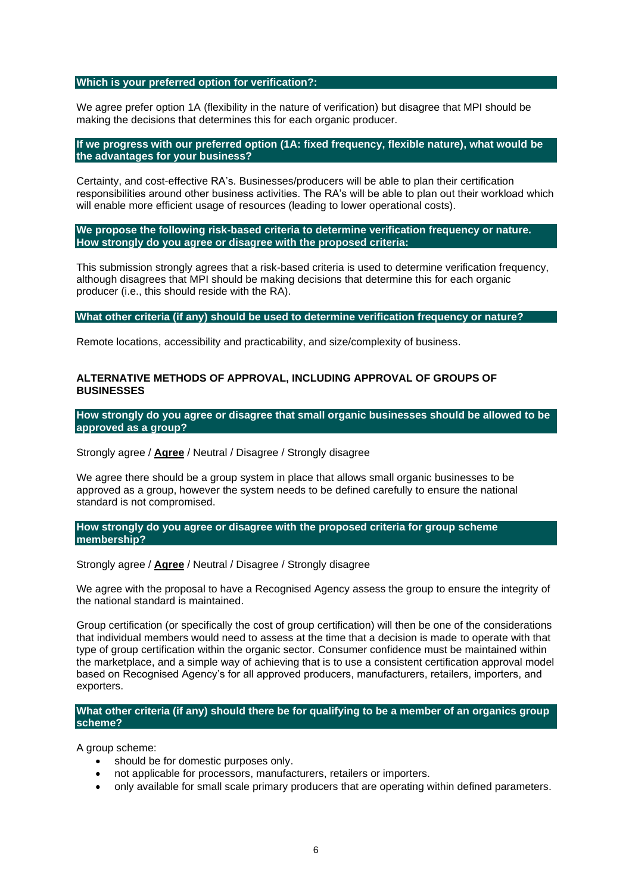#### **Which is your preferred option for verification?:**

We agree prefer option 1A (flexibility in the nature of verification) but disagree that MPI should be making the decisions that determines this for each organic producer.

# **If we progress with our preferred option (1A: fixed frequency, flexible nature), what would be the advantages for your business?**

Certainty, and cost-effective RA's. Businesses/producers will be able to plan their certification responsibilities around other business activities. The RA's will be able to plan out their workload which will enable more efficient usage of resources (leading to lower operational costs).

# **We propose the following risk-based criteria to determine verification frequency or nature. How strongly do you agree or disagree with the proposed criteria:**

This submission strongly agrees that a risk-based criteria is used to determine verification frequency, although disagrees that MPI should be making decisions that determine this for each organic producer (i.e., this should reside with the RA).

# **What other criteria (if any) should be used to determine verification frequency or nature?**

Remote locations, accessibility and practicability, and size/complexity of business.

# **ALTERNATIVE METHODS OF APPROVAL, INCLUDING APPROVAL OF GROUPS OF BUSINESSES**

**How strongly do you agree or disagree that small organic businesses should be allowed to be approved as a group?**

# Strongly agree / **Agree** / Neutral / Disagree / Strongly disagree

We agree there should be a group system in place that allows small organic businesses to be approved as a group, however the system needs to be defined carefully to ensure the national standard is not compromised.

# **How strongly do you agree or disagree with the proposed criteria for group scheme membership?**

# Strongly agree / **Agree** / Neutral / Disagree / Strongly disagree

We agree with the proposal to have a Recognised Agency assess the group to ensure the integrity of the national standard is maintained.

Group certification (or specifically the cost of group certification) will then be one of the considerations that individual members would need to assess at the time that a decision is made to operate with that type of group certification within the organic sector. Consumer confidence must be maintained within the marketplace, and a simple way of achieving that is to use a consistent certification approval model based on Recognised Agency's for all approved producers, manufacturers, retailers, importers, and exporters.

# **What other criteria (if any) should there be for qualifying to be a member of an organics group scheme?**

A group scheme:

- should be for domestic purposes only.
- not applicable for processors, manufacturers, retailers or importers.
- only available for small scale primary producers that are operating within defined parameters.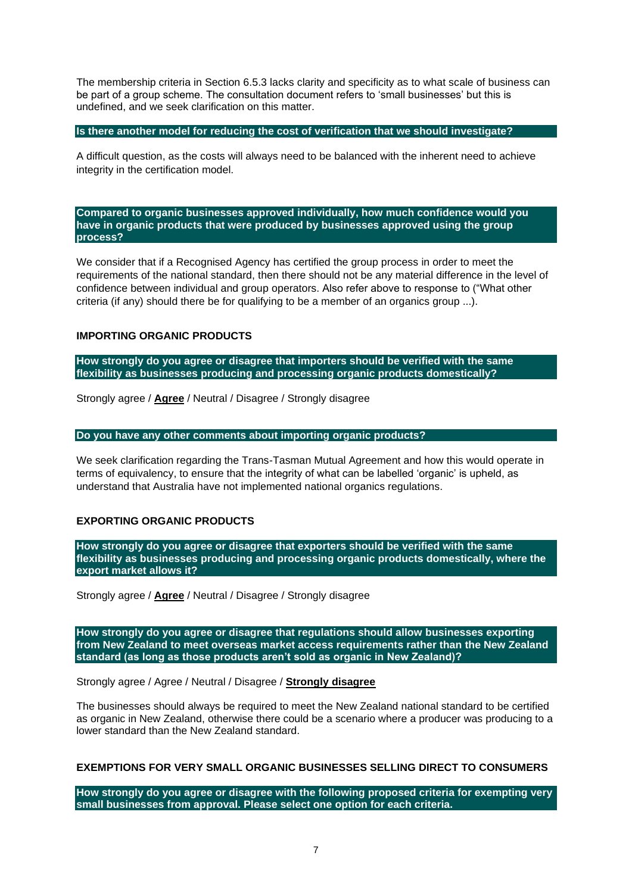The membership criteria in Section 6.5.3 lacks clarity and specificity as to what scale of business can be part of a group scheme. The consultation document refers to 'small businesses' but this is undefined, and we seek clarification on this matter.

**Is there another model for reducing the cost of verification that we should investigate?**

A difficult question, as the costs will always need to be balanced with the inherent need to achieve integrity in the certification model.

**Compared to organic businesses approved individually, how much confidence would you have in organic products that were produced by businesses approved using the group process?**

We consider that if a Recognised Agency has certified the group process in order to meet the requirements of the national standard, then there should not be any material difference in the level of confidence between individual and group operators. Also refer above to response to ("What other criteria (if any) should there be for qualifying to be a member of an organics group ...).

# **IMPORTING ORGANIC PRODUCTS**

**How strongly do you agree or disagree that importers should be verified with the same flexibility as businesses producing and processing organic products domestically?**

Strongly agree / **Agree** / Neutral / Disagree / Strongly disagree

**Do you have any other comments about importing organic products?**

We seek clarification regarding the Trans-Tasman Mutual Agreement and how this would operate in terms of equivalency, to ensure that the integrity of what can be labelled 'organic' is upheld, as understand that Australia have not implemented national organics regulations.

# **EXPORTING ORGANIC PRODUCTS**

**How strongly do you agree or disagree that exporters should be verified with the same flexibility as businesses producing and processing organic products domestically, where the export market allows it?**

Strongly agree / **Agree** / Neutral / Disagree / Strongly disagree

**How strongly do you agree or disagree that regulations should allow businesses exporting from New Zealand to meet overseas market access requirements rather than the New Zealand standard (as long as those products aren't sold as organic in New Zealand)?**

Strongly agree / Agree / Neutral / Disagree / **Strongly disagree**

The businesses should always be required to meet the New Zealand national standard to be certified as organic in New Zealand, otherwise there could be a scenario where a producer was producing to a lower standard than the New Zealand standard.

# **EXEMPTIONS FOR VERY SMALL ORGANIC BUSINESSES SELLING DIRECT TO CONSUMERS**

**How strongly do you agree or disagree with the following proposed criteria for exempting very small businesses from approval. Please select one option for each criteria.**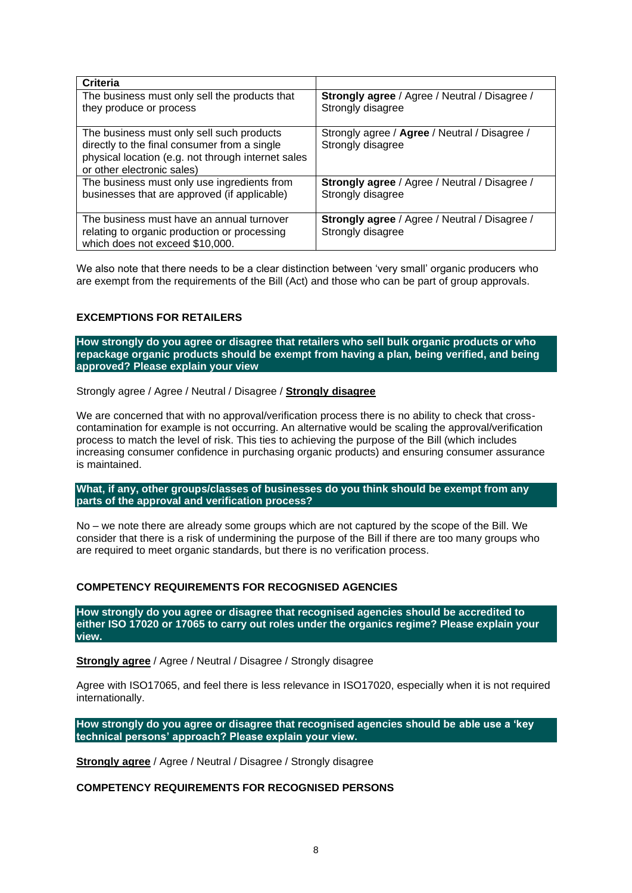| <b>Criteria</b>                                    |                                               |
|----------------------------------------------------|-----------------------------------------------|
| The business must only sell the products that      | Strongly agree / Agree / Neutral / Disagree / |
| they produce or process                            | Strongly disagree                             |
|                                                    |                                               |
| The business must only sell such products          | Strongly agree / Agree / Neutral / Disagree / |
| directly to the final consumer from a single       | Strongly disagree                             |
| physical location (e.g. not through internet sales |                                               |
| or other electronic sales)                         |                                               |
| The business must only use ingredients from        | Strongly agree / Agree / Neutral / Disagree / |
| businesses that are approved (if applicable)       | Strongly disagree                             |
|                                                    |                                               |
| The business must have an annual turnover          | Strongly agree / Agree / Neutral / Disagree / |
| relating to organic production or processing       | Strongly disagree                             |
| which does not exceed \$10,000.                    |                                               |

We also note that there needs to be a clear distinction between 'very small' organic producers who are exempt from the requirements of the Bill (Act) and those who can be part of group approvals.

# **EXCEMPTIONS FOR RETAILERS**

**How strongly do you agree or disagree that retailers who sell bulk organic products or who repackage organic products should be exempt from having a plan, being verified, and being approved? Please explain your view**

Strongly agree / Agree / Neutral / Disagree / **Strongly disagree**

We are concerned that with no approval/verification process there is no ability to check that crosscontamination for example is not occurring. An alternative would be scaling the approval/verification process to match the level of risk. This ties to achieving the purpose of the Bill (which includes increasing consumer confidence in purchasing organic products) and ensuring consumer assurance is maintained.

**What, if any, other groups/classes of businesses do you think should be exempt from any parts of the approval and verification process?**

No – we note there are already some groups which are not captured by the scope of the Bill. We consider that there is a risk of undermining the purpose of the Bill if there are too many groups who are required to meet organic standards, but there is no verification process.

# **COMPETENCY REQUIREMENTS FOR RECOGNISED AGENCIES**

**How strongly do you agree or disagree that recognised agencies should be accredited to either ISO 17020 or 17065 to carry out roles under the organics regime? Please explain your view.**

**Strongly agree** / Agree / Neutral / Disagree / Strongly disagree

Agree with ISO17065, and feel there is less relevance in ISO17020, especially when it is not required internationally.

**How strongly do you agree or disagree that recognised agencies should be able use a 'key technical persons' approach? Please explain your view.**

**Strongly agree** / Agree / Neutral / Disagree / Strongly disagree

**COMPETENCY REQUIREMENTS FOR RECOGNISED PERSONS**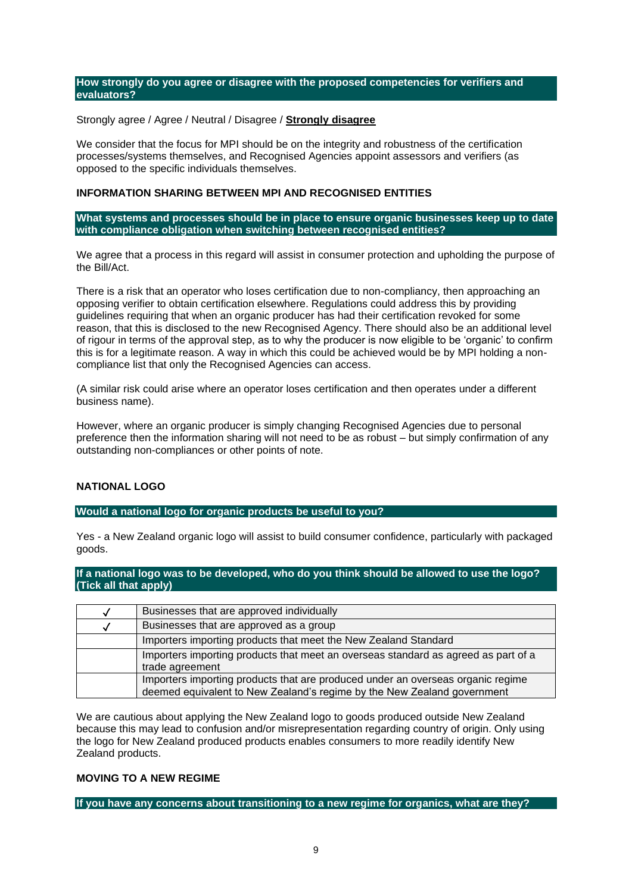## **How strongly do you agree or disagree with the proposed competencies for verifiers and evaluators?**

# Strongly agree / Agree / Neutral / Disagree / **Strongly disagree**

We consider that the focus for MPI should be on the integrity and robustness of the certification processes/systems themselves, and Recognised Agencies appoint assessors and verifiers (as opposed to the specific individuals themselves.

# **INFORMATION SHARING BETWEEN MPI AND RECOGNISED ENTITIES**

**What systems and processes should be in place to ensure organic businesses keep up to date with compliance obligation when switching between recognised entities?** 

We agree that a process in this regard will assist in consumer protection and upholding the purpose of the Bill/Act.

There is a risk that an operator who loses certification due to non-compliancy, then approaching an opposing verifier to obtain certification elsewhere. Regulations could address this by providing guidelines requiring that when an organic producer has had their certification revoked for some reason, that this is disclosed to the new Recognised Agency. There should also be an additional level of rigour in terms of the approval step, as to why the producer is now eligible to be 'organic' to confirm this is for a legitimate reason. A way in which this could be achieved would be by MPI holding a noncompliance list that only the Recognised Agencies can access.

(A similar risk could arise where an operator loses certification and then operates under a different business name).

However, where an organic producer is simply changing Recognised Agencies due to personal preference then the information sharing will not need to be as robust – but simply confirmation of any outstanding non-compliances or other points of note.

# **NATIONAL LOGO**

#### **Would a national logo for organic products be useful to you?**

Yes - a New Zealand organic logo will assist to build consumer confidence, particularly with packaged goods.

**If a national logo was to be developed, who do you think should be allowed to use the logo? (Tick all that apply)**

| Businesses that are approved individually                                          |
|------------------------------------------------------------------------------------|
| Businesses that are approved as a group                                            |
| Importers importing products that meet the New Zealand Standard                    |
| Importers importing products that meet an overseas standard as agreed as part of a |
| trade agreement                                                                    |
| Importers importing products that are produced under an overseas organic regime    |
| deemed equivalent to New Zealand's regime by the New Zealand government            |

We are cautious about applying the New Zealand logo to goods produced outside New Zealand because this may lead to confusion and/or misrepresentation regarding country of origin. Only using the logo for New Zealand produced products enables consumers to more readily identify New Zealand products.

# **MOVING TO A NEW REGIME**

**If you have any concerns about transitioning to a new regime for organics, what are they?**